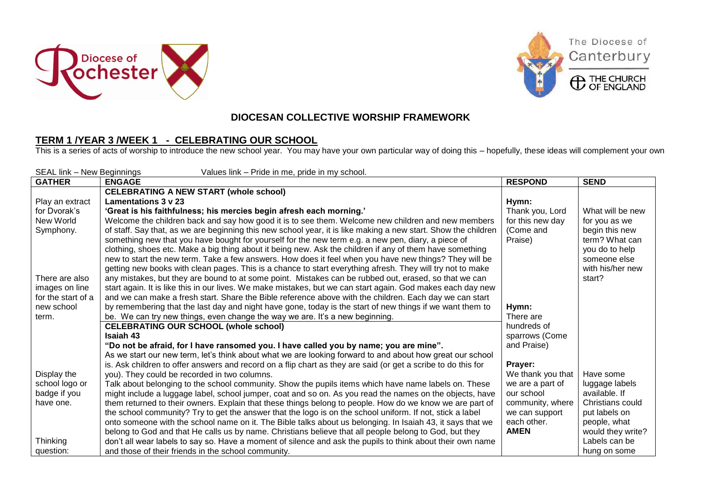





## **DIOCESAN COLLECTIVE WORSHIP FRAMEWORK**

## **TERM 1 /YEAR 3 /WEEK 1 - CELEBRATING OUR SCHOOL**

This is a series of acts of worship to introduce the new school year. You may have your own particular way of doing this – hopefully, these ideas will complement your own

| SEAL link - New Beginnings<br>Values link - Pride in me, pride in my school. |                                                                                                                |                   |                   |  |  |
|------------------------------------------------------------------------------|----------------------------------------------------------------------------------------------------------------|-------------------|-------------------|--|--|
| <b>GATHER</b>                                                                | <b>ENGAGE</b>                                                                                                  | <b>RESPOND</b>    | <b>SEND</b>       |  |  |
|                                                                              | <b>CELEBRATING A NEW START (whole school)</b>                                                                  |                   |                   |  |  |
| Play an extract                                                              | Lamentations 3 v 23                                                                                            | Hymn:             |                   |  |  |
| for Dvorak's                                                                 | 'Great is his faithfulness; his mercies begin afresh each morning.'                                            | Thank you, Lord   | What will be new  |  |  |
| New World                                                                    | Welcome the children back and say how good it is to see them. Welcome new children and new members             | for this new day  | for you as we     |  |  |
| Symphony.                                                                    | of staff. Say that, as we are beginning this new school year, it is like making a new start. Show the children | (Come and         | begin this new    |  |  |
|                                                                              | something new that you have bought for yourself for the new term e.g. a new pen, diary, a piece of             | Praise)           | term? What can    |  |  |
|                                                                              | clothing, shoes etc. Make a big thing about it being new. Ask the children if any of them have something       |                   | you do to help    |  |  |
|                                                                              | new to start the new term. Take a few answers. How does it feel when you have new things? They will be         |                   | someone else      |  |  |
|                                                                              | getting new books with clean pages. This is a chance to start everything afresh. They will try not to make     |                   | with his/her new  |  |  |
| There are also                                                               | any mistakes, but they are bound to at some point. Mistakes can be rubbed out, erased, so that we can          |                   | start?            |  |  |
| images on line                                                               | start again. It is like this in our lives. We make mistakes, but we can start again. God makes each day new    |                   |                   |  |  |
| for the start of a                                                           | and we can make a fresh start. Share the Bible reference above with the children. Each day we can start        |                   |                   |  |  |
| new school                                                                   | by remembering that the last day and night have gone, today is the start of new things if we want them to      | Hymn:             |                   |  |  |
| term.                                                                        | be. We can try new things, even change the way we are. It's a new beginning.                                   | There are         |                   |  |  |
|                                                                              | <b>CELEBRATING OUR SCHOOL (whole school)</b>                                                                   | hundreds of       |                   |  |  |
|                                                                              | <b>Isaiah 43</b>                                                                                               | sparrows (Come    |                   |  |  |
|                                                                              | "Do not be afraid, for I have ransomed you. I have called you by name; you are mine".                          | and Praise)       |                   |  |  |
|                                                                              | As we start our new term, let's think about what we are looking forward to and about how great our school      |                   |                   |  |  |
|                                                                              | is. Ask children to offer answers and record on a flip chart as they are said (or get a scribe to do this for  | Prayer:           |                   |  |  |
| Display the                                                                  | you). They could be recorded in two columns.                                                                   | We thank you that | Have some         |  |  |
| school logo or                                                               | Talk about belonging to the school community. Show the pupils items which have name labels on. These           | we are a part of  | luggage labels    |  |  |
| badge if you                                                                 | might include a luggage label, school jumper, coat and so on. As you read the names on the objects, have       | our school        | available. If     |  |  |
| have one.                                                                    | them returned to their owners. Explain that these things belong to people. How do we know we are part of       | community, where  | Christians could  |  |  |
|                                                                              | the school community? Try to get the answer that the logo is on the school uniform. If not, stick a label      | we can support    | put labels on     |  |  |
|                                                                              | onto someone with the school name on it. The Bible talks about us belonging. In Isaiah 43, it says that we     | each other.       | people, what      |  |  |
|                                                                              | belong to God and that He calls us by name. Christians believe that all people belong to God, but they         | <b>AMEN</b>       | would they write? |  |  |
| <b>Thinking</b>                                                              | don't all wear labels to say so. Have a moment of silence and ask the pupils to think about their own name     |                   | Labels can be     |  |  |
| question:                                                                    | and those of their friends in the school community.                                                            |                   | hung on some      |  |  |